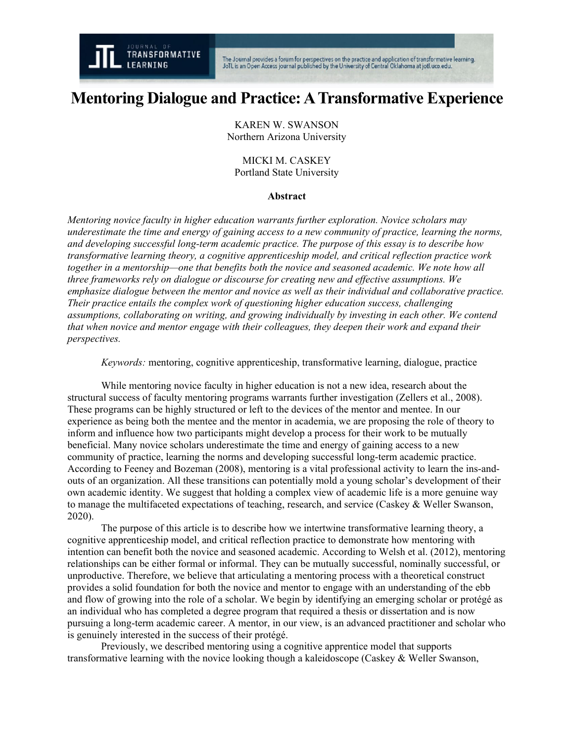

# **Mentoring Dialogue and Practice:ATransformative Experience**

KAREN W. SWANSON Northern Arizona University

MICKI M. CASKEY Portland State University

## **Abstract**

*Mentoring novice faculty in higher education warrants further exploration. Novice scholars may underestimate the time and energy of gaining access to a new community of practice, learning the norms, and developing successful long-term academic practice. The purpose of this essay is to describe how transformative learning theory, a cognitive apprenticeship model, and critical reflection practice work together in a mentorship—one that benefits both the novice and seasoned academic. We note how all three frameworks rely on dialogue or discourse for creating new and effective assumptions. We emphasize dialogue between the mentor and novice as well as their individual and collaborative practice. Their practice entails the complex work of questioning higher education success, challenging assumptions, collaborating on writing, and growing individually by investing in each other. We contend that when novice and mentor engage with their colleagues, they deepen their work and expand their perspectives.*

*Keywords:* mentoring, cognitive apprenticeship, transformative learning, dialogue, practice

While mentoring novice faculty in higher education is not a new idea, research about the structural success of faculty mentoring programs warrants further investigation (Zellers et al., 2008). These programs can be highly structured or left to the devices of the mentor and mentee. In our experience as being both the mentee and the mentor in academia, we are proposing the role of theory to inform and influence how two participants might develop a process for their work to be mutually beneficial. Many novice scholars underestimate the time and energy of gaining access to a new community of practice, learning the norms and developing successful long-term academic practice. According to Feeney and Bozeman (2008), mentoring is a vital professional activity to learn the ins-andouts of an organization. All these transitions can potentially mold a young scholar's development of their own academic identity. We suggest that holding a complex view of academic life is a more genuine way to manage the multifaceted expectations of teaching, research, and service (Caskey & Weller Swanson, 2020).

The purpose of this article is to describe how we intertwine transformative learning theory, a cognitive apprenticeship model, and critical reflection practice to demonstrate how mentoring with intention can benefit both the novice and seasoned academic. According to Welsh et al. (2012), mentoring relationships can be either formal or informal. They can be mutually successful, nominally successful, or unproductive. Therefore, we believe that articulating a mentoring process with a theoretical construct provides a solid foundation for both the novice and mentor to engage with an understanding of the ebb and flow of growing into the role of a scholar. We begin by identifying an emerging scholar or protégé as an individual who has completed a degree program that required a thesis or dissertation and is now pursuing a long-term academic career. A mentor, in our view, is an advanced practitioner and scholar who is genuinely interested in the success of their protégé.

Previously, we described mentoring using a cognitive apprentice model that supports transformative learning with the novice looking though a kaleidoscope (Caskey & Weller Swanson,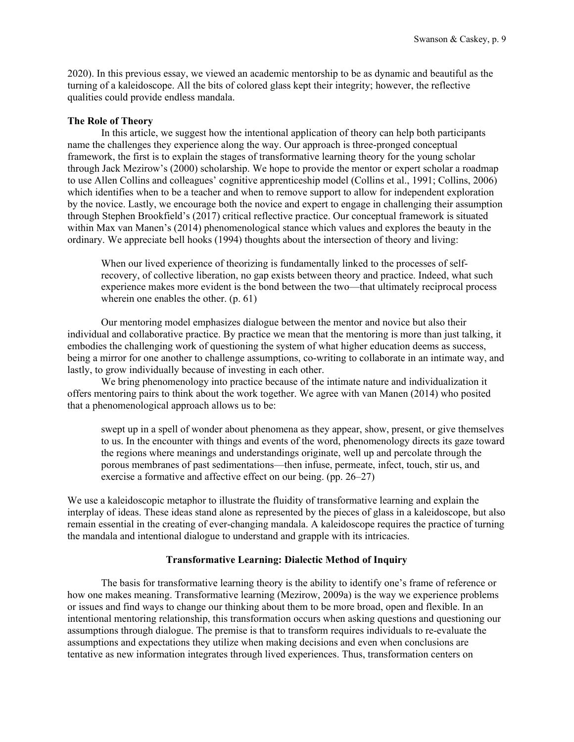2020). In this previous essay, we viewed an academic mentorship to be as dynamic and beautiful as the turning of a kaleidoscope. All the bits of colored glass kept their integrity; however, the reflective qualities could provide endless mandala.

## **The Role of Theory**

In this article, we suggest how the intentional application of theory can help both participants name the challenges they experience along the way. Our approach is three-pronged conceptual framework, the first is to explain the stages of transformative learning theory for the young scholar through Jack Mezirow's (2000) scholarship. We hope to provide the mentor or expert scholar a roadmap to use Allen Collins and colleagues' cognitive apprenticeship model (Collins et al., 1991; Collins, 2006) which identifies when to be a teacher and when to remove support to allow for independent exploration by the novice. Lastly, we encourage both the novice and expert to engage in challenging their assumption through Stephen Brookfield's (2017) critical reflective practice. Our conceptual framework is situated within Max van Manen's (2014) phenomenological stance which values and explores the beauty in the ordinary. We appreciate bell hooks (1994) thoughts about the intersection of theory and living:

When our lived experience of theorizing is fundamentally linked to the processes of selfrecovery, of collective liberation, no gap exists between theory and practice. Indeed, what such experience makes more evident is the bond between the two—that ultimately reciprocal process wherein one enables the other. (p. 61)

Our mentoring model emphasizes dialogue between the mentor and novice but also their individual and collaborative practice. By practice we mean that the mentoring is more than just talking, it embodies the challenging work of questioning the system of what higher education deems as success, being a mirror for one another to challenge assumptions, co-writing to collaborate in an intimate way, and lastly, to grow individually because of investing in each other.

We bring phenomenology into practice because of the intimate nature and individualization it offers mentoring pairs to think about the work together. We agree with van Manen (2014) who posited that a phenomenological approach allows us to be:

swept up in a spell of wonder about phenomena as they appear, show, present, or give themselves to us. In the encounter with things and events of the word, phenomenology directs its gaze toward the regions where meanings and understandings originate, well up and percolate through the porous membranes of past sedimentations—then infuse, permeate, infect, touch, stir us, and exercise a formative and affective effect on our being. (pp. 26–27)

We use a kaleidoscopic metaphor to illustrate the fluidity of transformative learning and explain the interplay of ideas. These ideas stand alone as represented by the pieces of glass in a kaleidoscope, but also remain essential in the creating of ever-changing mandala. A kaleidoscope requires the practice of turning the mandala and intentional dialogue to understand and grapple with its intricacies.

## **Transformative Learning: Dialectic Method of Inquiry**

The basis for transformative learning theory is the ability to identify one's frame of reference or how one makes meaning. Transformative learning (Mezirow, 2009a) is the way we experience problems or issues and find ways to change our thinking about them to be more broad, open and flexible. In an intentional mentoring relationship, this transformation occurs when asking questions and questioning our assumptions through dialogue. The premise is that to transform requires individuals to re-evaluate the assumptions and expectations they utilize when making decisions and even when conclusions are tentative as new information integrates through lived experiences. Thus, transformation centers on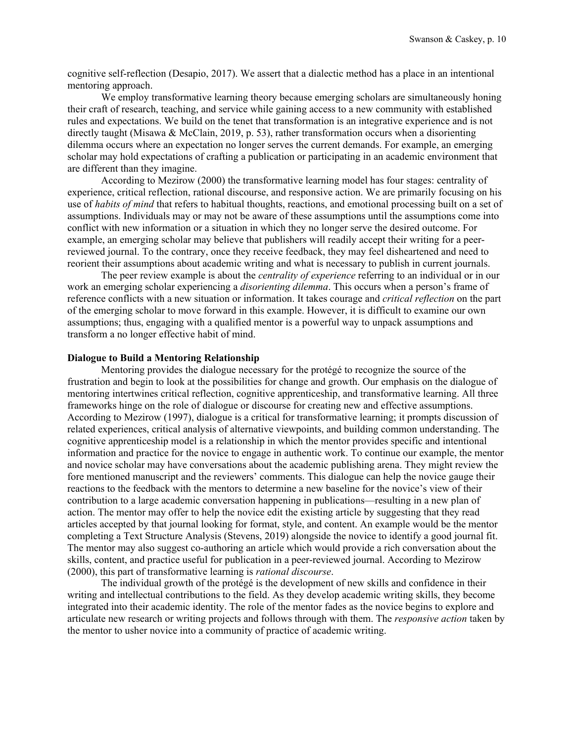cognitive self-reflection (Desapio, 2017). We assert that a dialectic method has a place in an intentional mentoring approach.

We employ transformative learning theory because emerging scholars are simultaneously honing their craft of research, teaching, and service while gaining access to a new community with established rules and expectations. We build on the tenet that transformation is an integrative experience and is not directly taught (Misawa & McClain, 2019, p. 53), rather transformation occurs when a disorienting dilemma occurs where an expectation no longer serves the current demands. For example, an emerging scholar may hold expectations of crafting a publication or participating in an academic environment that are different than they imagine.

According to Mezirow (2000) the transformative learning model has four stages: centrality of experience, critical reflection, rational discourse, and responsive action. We are primarily focusing on his use of *habits of mind* that refers to habitual thoughts, reactions, and emotional processing built on a set of assumptions. Individuals may or may not be aware of these assumptions until the assumptions come into conflict with new information or a situation in which they no longer serve the desired outcome. For example, an emerging scholar may believe that publishers will readily accept their writing for a peerreviewed journal. To the contrary, once they receive feedback, they may feel disheartened and need to reorient their assumptions about academic writing and what is necessary to publish in current journals.

The peer review example is about the *centrality of experience* referring to an individual or in our work an emerging scholar experiencing a *disorienting dilemma*. This occurs when a person's frame of reference conflicts with a new situation or information. It takes courage and *critical reflection* on the part of the emerging scholar to move forward in this example. However, it is difficult to examine our own assumptions; thus, engaging with a qualified mentor is a powerful way to unpack assumptions and transform a no longer effective habit of mind.

#### **Dialogue to Build a Mentoring Relationship**

Mentoring provides the dialogue necessary for the protégé to recognize the source of the frustration and begin to look at the possibilities for change and growth. Our emphasis on the dialogue of mentoring intertwines critical reflection, cognitive apprenticeship, and transformative learning. All three frameworks hinge on the role of dialogue or discourse for creating new and effective assumptions. According to Mezirow (1997), dialogue is a critical for transformative learning; it prompts discussion of related experiences, critical analysis of alternative viewpoints, and building common understanding. The cognitive apprenticeship model is a relationship in which the mentor provides specific and intentional information and practice for the novice to engage in authentic work. To continue our example, the mentor and novice scholar may have conversations about the academic publishing arena. They might review the fore mentioned manuscript and the reviewers' comments. This dialogue can help the novice gauge their reactions to the feedback with the mentors to determine a new baseline for the novice's view of their contribution to a large academic conversation happening in publications—resulting in a new plan of action. The mentor may offer to help the novice edit the existing article by suggesting that they read articles accepted by that journal looking for format, style, and content. An example would be the mentor completing a Text Structure Analysis (Stevens, 2019) alongside the novice to identify a good journal fit. The mentor may also suggest co-authoring an article which would provide a rich conversation about the skills, content, and practice useful for publication in a peer-reviewed journal. According to Mezirow (2000), this part of transformative learning is *rational discourse*.

The individual growth of the protégé is the development of new skills and confidence in their writing and intellectual contributions to the field. As they develop academic writing skills, they become integrated into their academic identity. The role of the mentor fades as the novice begins to explore and articulate new research or writing projects and follows through with them. The *responsive action* taken by the mentor to usher novice into a community of practice of academic writing.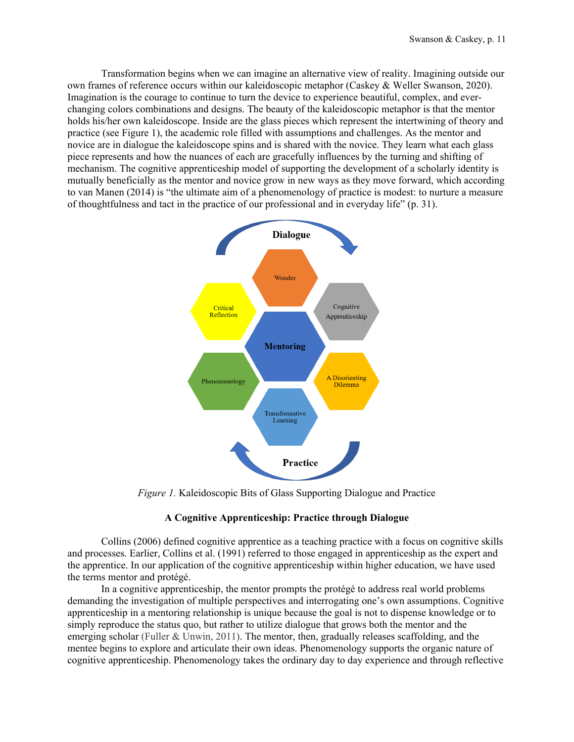Transformation begins when we can imagine an alternative view of reality. Imagining outside our own frames of reference occurs within our kaleidoscopic metaphor (Caskey & Weller Swanson, 2020). Imagination is the courage to continue to turn the device to experience beautiful, complex, and everchanging colors combinations and designs. The beauty of the kaleidoscopic metaphor is that the mentor holds his/her own kaleidoscope. Inside are the glass pieces which represent the intertwining of theory and practice (see Figure 1), the academic role filled with assumptions and challenges. As the mentor and novice are in dialogue the kaleidoscope spins and is shared with the novice. They learn what each glass piece represents and how the nuances of each are gracefully influences by the turning and shifting of mechanism. The cognitive apprenticeship model of supporting the development of a scholarly identity is mutually beneficially as the mentor and novice grow in new ways as they move forward, which according to van Manen (2014) is "the ultimate aim of a phenomenology of practice is modest: to nurture a measure of thoughtfulness and tact in the practice of our professional and in everyday life" (p. 31).



*Figure 1.* Kaleidoscopic Bits of Glass Supporting Dialogue and Practice

# **A Cognitive Apprenticeship: Practice through Dialogue**

Collins (2006) defined cognitive apprentice as a teaching practice with a focus on cognitive skills and processes. Earlier, Collins et al. (1991) referred to those engaged in apprenticeship as the expert and the apprentice. In our application of the cognitive apprenticeship within higher education, we have used the terms mentor and protégé.

In a cognitive apprenticeship, the mentor prompts the protégé to address real world problems demanding the investigation of multiple perspectives and interrogating one's own assumptions. Cognitive apprenticeship in a mentoring relationship is unique because the goal is not to dispense knowledge or to simply reproduce the status quo, but rather to utilize dialogue that grows both the mentor and the emerging scholar (Fuller & Unwin, 2011). The mentor, then, gradually releases scaffolding, and the mentee begins to explore and articulate their own ideas. Phenomenology supports the organic nature of cognitive apprenticeship. Phenomenology takes the ordinary day to day experience and through reflective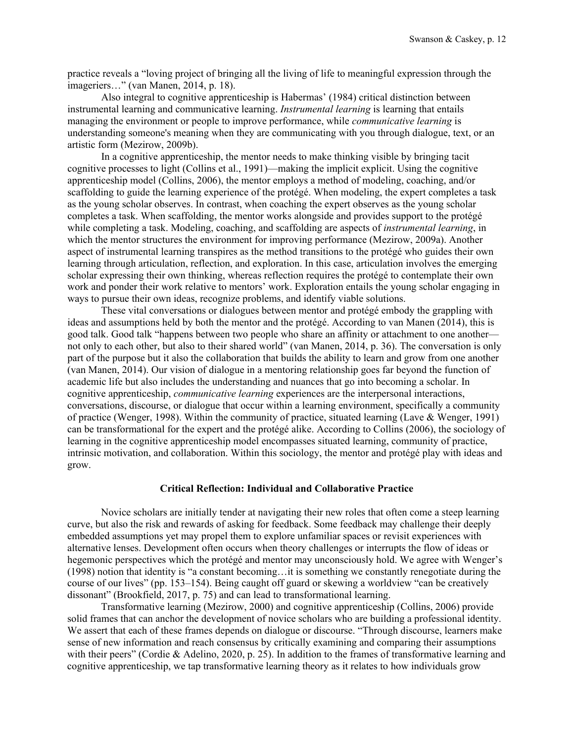practice reveals a "loving project of bringing all the living of life to meaningful expression through the imageriers…" (van Manen, 2014, p. 18).

Also integral to cognitive apprenticeship is Habermas' (1984) critical distinction between instrumental learning and communicative learning. *Instrumental learning* is learning that entails managing the environment or people to improve performance, while *communicative learning* is understanding someone's meaning when they are communicating with you through dialogue, text, or an artistic form (Mezirow, 2009b).

In a cognitive apprenticeship, the mentor needs to make thinking visible by bringing tacit cognitive processes to light (Collins et al., 1991)—making the implicit explicit. Using the cognitive apprenticeship model (Collins, 2006), the mentor employs a method of modeling, coaching, and/or scaffolding to guide the learning experience of the protégé. When modeling, the expert completes a task as the young scholar observes. In contrast, when coaching the expert observes as the young scholar completes a task. When scaffolding, the mentor works alongside and provides support to the protégé while completing a task. Modeling, coaching, and scaffolding are aspects of *instrumental learning*, in which the mentor structures the environment for improving performance (Mezirow, 2009a). Another aspect of instrumental learning transpires as the method transitions to the protégé who guides their own learning through articulation, reflection, and exploration. In this case, articulation involves the emerging scholar expressing their own thinking, whereas reflection requires the protégé to contemplate their own work and ponder their work relative to mentors' work. Exploration entails the young scholar engaging in ways to pursue their own ideas, recognize problems, and identify viable solutions.

These vital conversations or dialogues between mentor and protégé embody the grappling with ideas and assumptions held by both the mentor and the protégé. According to van Manen (2014), this is good talk. Good talk "happens between two people who share an affinity or attachment to one another not only to each other, but also to their shared world" (van Manen, 2014, p. 36). The conversation is only part of the purpose but it also the collaboration that builds the ability to learn and grow from one another (van Manen, 2014). Our vision of dialogue in a mentoring relationship goes far beyond the function of academic life but also includes the understanding and nuances that go into becoming a scholar. In cognitive apprenticeship, *communicative learning* experiences are the interpersonal interactions, conversations, discourse, or dialogue that occur within a learning environment, specifically a community of practice (Wenger, 1998). Within the community of practice, situated learning (Lave & Wenger, 1991) can be transformational for the expert and the protégé alike. According to Collins (2006), the sociology of learning in the cognitive apprenticeship model encompasses situated learning, community of practice, intrinsic motivation, and collaboration. Within this sociology, the mentor and protégé play with ideas and grow.

#### **Critical Reflection: Individual and Collaborative Practice**

Novice scholars are initially tender at navigating their new roles that often come a steep learning curve, but also the risk and rewards of asking for feedback. Some feedback may challenge their deeply embedded assumptions yet may propel them to explore unfamiliar spaces or revisit experiences with alternative lenses. Development often occurs when theory challenges or interrupts the flow of ideas or hegemonic perspectives which the protégé and mentor may unconsciously hold. We agree with Wenger's (1998) notion that identity is "a constant becoming…it is something we constantly renegotiate during the course of our lives" (pp. 153–154). Being caught off guard or skewing a worldview "can be creatively dissonant" (Brookfield, 2017, p. 75) and can lead to transformational learning.

Transformative learning (Mezirow, 2000) and cognitive apprenticeship (Collins, 2006) provide solid frames that can anchor the development of novice scholars who are building a professional identity. We assert that each of these frames depends on dialogue or discourse. "Through discourse, learners make sense of new information and reach consensus by critically examining and comparing their assumptions with their peers" (Cordie & Adelino, 2020, p. 25). In addition to the frames of transformative learning and cognitive apprenticeship, we tap transformative learning theory as it relates to how individuals grow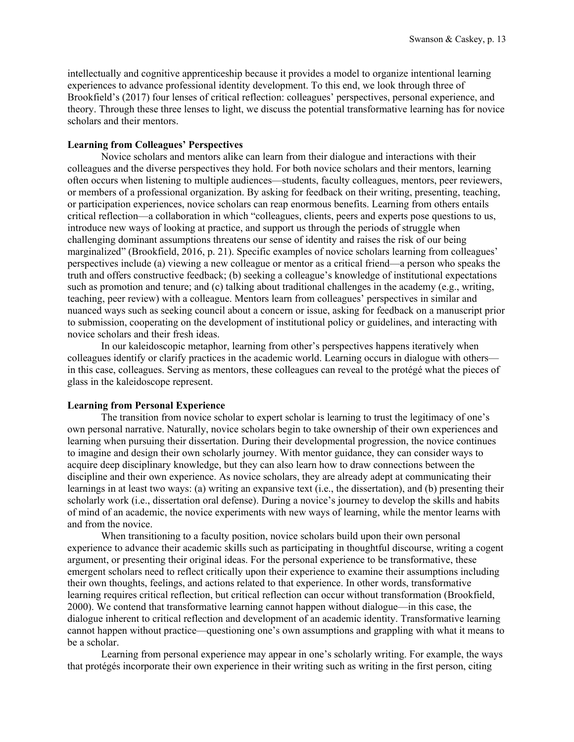intellectually and cognitive apprenticeship because it provides a model to organize intentional learning experiences to advance professional identity development. To this end, we look through three of Brookfield's (2017) four lenses of critical reflection: colleagues' perspectives, personal experience, and theory. Through these three lenses to light, we discuss the potential transformative learning has for novice scholars and their mentors.

# **Learning from Colleagues' Perspectives**

Novice scholars and mentors alike can learn from their dialogue and interactions with their colleagues and the diverse perspectives they hold. For both novice scholars and their mentors, learning often occurs when listening to multiple audiences—students, faculty colleagues, mentors, peer reviewers, or members of a professional organization. By asking for feedback on their writing, presenting, teaching, or participation experiences, novice scholars can reap enormous benefits. Learning from others entails critical reflection—a collaboration in which "colleagues, clients, peers and experts pose questions to us, introduce new ways of looking at practice, and support us through the periods of struggle when challenging dominant assumptions threatens our sense of identity and raises the risk of our being marginalized" (Brookfield, 2016, p. 21). Specific examples of novice scholars learning from colleagues' perspectives include (a) viewing a new colleague or mentor as a critical friend—a person who speaks the truth and offers constructive feedback; (b) seeking a colleague's knowledge of institutional expectations such as promotion and tenure; and (c) talking about traditional challenges in the academy (e.g., writing, teaching, peer review) with a colleague. Mentors learn from colleagues' perspectives in similar and nuanced ways such as seeking council about a concern or issue, asking for feedback on a manuscript prior to submission, cooperating on the development of institutional policy or guidelines, and interacting with novice scholars and their fresh ideas.

In our kaleidoscopic metaphor, learning from other's perspectives happens iteratively when colleagues identify or clarify practices in the academic world. Learning occurs in dialogue with others in this case, colleagues. Serving as mentors, these colleagues can reveal to the protégé what the pieces of glass in the kaleidoscope represent.

## **Learning from Personal Experience**

The transition from novice scholar to expert scholar is learning to trust the legitimacy of one's own personal narrative. Naturally, novice scholars begin to take ownership of their own experiences and learning when pursuing their dissertation. During their developmental progression, the novice continues to imagine and design their own scholarly journey. With mentor guidance, they can consider ways to acquire deep disciplinary knowledge, but they can also learn how to draw connections between the discipline and their own experience. As novice scholars, they are already adept at communicating their learnings in at least two ways: (a) writing an expansive text (i.e., the dissertation), and (b) presenting their scholarly work (i.e., dissertation oral defense). During a novice's journey to develop the skills and habits of mind of an academic, the novice experiments with new ways of learning, while the mentor learns with and from the novice.

When transitioning to a faculty position, novice scholars build upon their own personal experience to advance their academic skills such as participating in thoughtful discourse, writing a cogent argument, or presenting their original ideas. For the personal experience to be transformative, these emergent scholars need to reflect critically upon their experience to examine their assumptions including their own thoughts, feelings, and actions related to that experience. In other words, transformative learning requires critical reflection, but critical reflection can occur without transformation (Brookfield, 2000). We contend that transformative learning cannot happen without dialogue—in this case, the dialogue inherent to critical reflection and development of an academic identity. Transformative learning cannot happen without practice—questioning one's own assumptions and grappling with what it means to be a scholar.

Learning from personal experience may appear in one's scholarly writing. For example, the ways that protégés incorporate their own experience in their writing such as writing in the first person, citing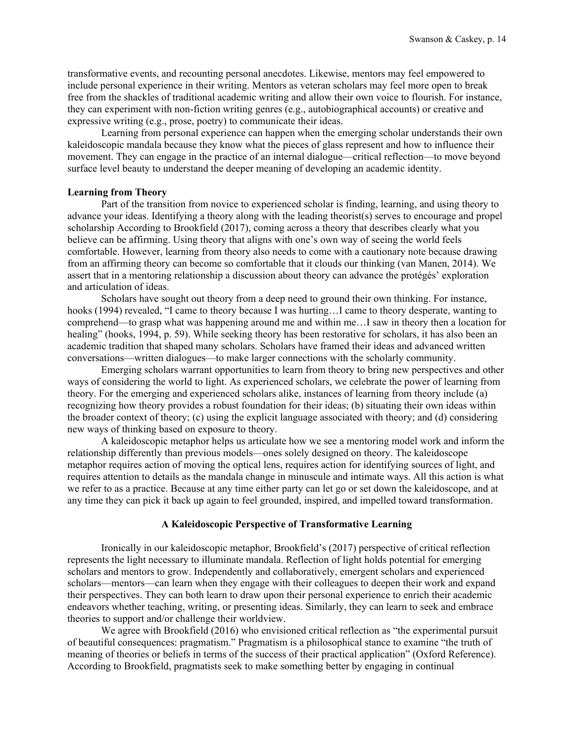transformative events, and recounting personal anecdotes. Likewise, mentors may feel empowered to include personal experience in their writing. Mentors as veteran scholars may feel more open to break free from the shackles of traditional academic writing and allow their own voice to flourish. For instance, they can experiment with non-fiction writing genres (e.g., autobiographical accounts) or creative and expressive writing (e.g., prose, poetry) to communicate their ideas.

Learning from personal experience can happen when the emerging scholar understands their own kaleidoscopic mandala because they know what the pieces of glass represent and how to influence their movement. They can engage in the practice of an internal dialogue—critical reflection—to move beyond surface level beauty to understand the deeper meaning of developing an academic identity.

## **Learning from Theory**

Part of the transition from novice to experienced scholar is finding, learning, and using theory to advance your ideas. Identifying a theory along with the leading theorist(s) serves to encourage and propel scholarship According to Brookfield (2017), coming across a theory that describes clearly what you believe can be affirming. Using theory that aligns with one's own way of seeing the world feels comfortable. However, learning from theory also needs to come with a cautionary note because drawing from an affirming theory can become so comfortable that it clouds our thinking (van Manen, 2014). We assert that in a mentoring relationship a discussion about theory can advance the protégés' exploration and articulation of ideas.

Scholars have sought out theory from a deep need to ground their own thinking. For instance, hooks (1994) revealed, "I came to theory because I was hurting...I came to theory desperate, wanting to comprehend—to grasp what was happening around me and within me…I saw in theory then a location for healing" (hooks, 1994, p. 59). While seeking theory has been restorative for scholars, it has also been an academic tradition that shaped many scholars. Scholars have framed their ideas and advanced written conversations—written dialogues—to make larger connections with the scholarly community.

Emerging scholars warrant opportunities to learn from theory to bring new perspectives and other ways of considering the world to light. As experienced scholars, we celebrate the power of learning from theory. For the emerging and experienced scholars alike, instances of learning from theory include (a) recognizing how theory provides a robust foundation for their ideas; (b) situating their own ideas within the broader context of theory; (c) using the explicit language associated with theory; and (d) considering new ways of thinking based on exposure to theory.

A kaleidoscopic metaphor helps us articulate how we see a mentoring model work and inform the relationship differently than previous models—ones solely designed on theory. The kaleidoscope metaphor requires action of moving the optical lens, requires action for identifying sources of light, and requires attention to details as the mandala change in minuscule and intimate ways. All this action is what we refer to as a practice. Because at any time either party can let go or set down the kaleidoscope, and at any time they can pick it back up again to feel grounded, inspired, and impelled toward transformation.

# **A Kaleidoscopic Perspective of Transformative Learning**

Ironically in our kaleidoscopic metaphor, Brookfield's (2017) perspective of critical reflection represents the light necessary to illuminate mandala. Reflection of light holds potential for emerging scholars and mentors to grow. Independently and collaboratively, emergent scholars and experienced scholars—mentors—can learn when they engage with their colleagues to deepen their work and expand their perspectives. They can both learn to draw upon their personal experience to enrich their academic endeavors whether teaching, writing, or presenting ideas. Similarly, they can learn to seek and embrace theories to support and/or challenge their worldview.

We agree with Brookfield (2016) who envisioned critical reflection as "the experimental pursuit of beautiful consequences: pragmatism." Pragmatism is a philosophical stance to examine "the truth of meaning of theories or beliefs in terms of the success of their practical application" (Oxford Reference). According to Brookfield, pragmatists seek to make something better by engaging in continual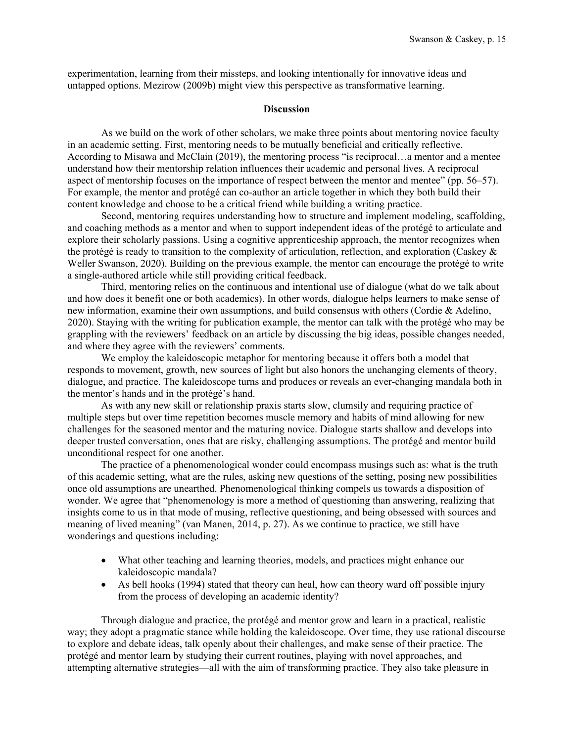experimentation, learning from their missteps, and looking intentionally for innovative ideas and untapped options. Mezirow (2009b) might view this perspective as transformative learning.

#### **Discussion**

As we build on the work of other scholars, we make three points about mentoring novice faculty in an academic setting. First, mentoring needs to be mutually beneficial and critically reflective. According to Misawa and McClain (2019), the mentoring process "is reciprocal…a mentor and a mentee understand how their mentorship relation influences their academic and personal lives. A reciprocal aspect of mentorship focuses on the importance of respect between the mentor and mentee" (pp. 56–57). For example, the mentor and protégé can co-author an article together in which they both build their content knowledge and choose to be a critical friend while building a writing practice.

Second, mentoring requires understanding how to structure and implement modeling, scaffolding, and coaching methods as a mentor and when to support independent ideas of the protégé to articulate and explore their scholarly passions. Using a cognitive apprenticeship approach, the mentor recognizes when the protégé is ready to transition to the complexity of articulation, reflection, and exploration (Caskey & Weller Swanson, 2020). Building on the previous example, the mentor can encourage the protégé to write a single-authored article while still providing critical feedback.

Third, mentoring relies on the continuous and intentional use of dialogue (what do we talk about and how does it benefit one or both academics). In other words, dialogue helps learners to make sense of new information, examine their own assumptions, and build consensus with others (Cordie & Adelino, 2020). Staying with the writing for publication example, the mentor can talk with the protégé who may be grappling with the reviewers' feedback on an article by discussing the big ideas, possible changes needed, and where they agree with the reviewers' comments.

We employ the kaleidoscopic metaphor for mentoring because it offers both a model that responds to movement, growth, new sources of light but also honors the unchanging elements of theory, dialogue, and practice. The kaleidoscope turns and produces or reveals an ever-changing mandala both in the mentor's hands and in the protégé's hand.

As with any new skill or relationship praxis starts slow, clumsily and requiring practice of multiple steps but over time repetition becomes muscle memory and habits of mind allowing for new challenges for the seasoned mentor and the maturing novice. Dialogue starts shallow and develops into deeper trusted conversation, ones that are risky, challenging assumptions. The protégé and mentor build unconditional respect for one another.

The practice of a phenomenological wonder could encompass musings such as: what is the truth of this academic setting, what are the rules, asking new questions of the setting, posing new possibilities once old assumptions are unearthed. Phenomenological thinking compels us towards a disposition of wonder. We agree that "phenomenology is more a method of questioning than answering, realizing that insights come to us in that mode of musing, reflective questioning, and being obsessed with sources and meaning of lived meaning" (van Manen, 2014, p. 27). As we continue to practice, we still have wonderings and questions including:

- What other teaching and learning theories, models, and practices might enhance our kaleidoscopic mandala?
- As bell hooks (1994) stated that theory can heal, how can theory ward off possible injury from the process of developing an academic identity?

Through dialogue and practice, the protégé and mentor grow and learn in a practical, realistic way; they adopt a pragmatic stance while holding the kaleidoscope. Over time, they use rational discourse to explore and debate ideas, talk openly about their challenges, and make sense of their practice. The protégé and mentor learn by studying their current routines, playing with novel approaches, and attempting alternative strategies—all with the aim of transforming practice. They also take pleasure in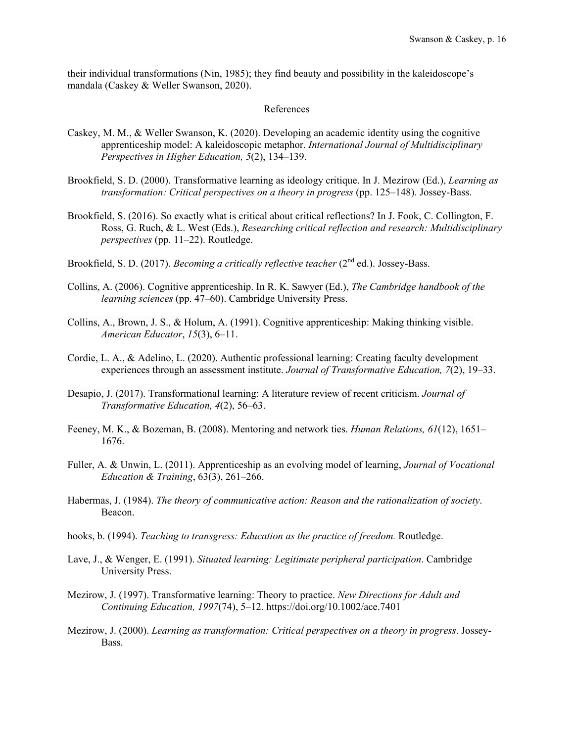their individual transformations (Nin, 1985); they find beauty and possibility in the kaleidoscope's mandala (Caskey & Weller Swanson, 2020).

#### References

- Caskey, M. M., & Weller Swanson, K. (2020). Developing an academic identity using the cognitive apprenticeship model: A kaleidoscopic metaphor. *International Journal of Multidisciplinary Perspectives in Higher Education, 5*(2), 134–139.
- Brookfield, S. D. (2000). Transformative learning as ideology critique. In J. Mezirow (Ed.), *Learning as transformation: Critical perspectives on a theory in progress* (pp. 125–148). Jossey-Bass.
- Brookfield, S. (2016). So exactly what is critical about critical reflections? In J. Fook, C. Collington, F. Ross, G. Ruch, & L. West (Eds.), *Researching critical reflection and research: Multidisciplinary perspectives* (pp. 11–22). Routledge.
- Brookfield, S. D. (2017). *Becoming a critically reflective teacher* (2<sup>nd</sup> ed.). Jossey-Bass.
- Collins, A. (2006). Cognitive apprenticeship. In R. K. Sawyer (Ed.), *The Cambridge handbook of the learning sciences* (pp. 47–60). Cambridge University Press.
- Collins, A., Brown, J. S., & Holum, A. (1991). Cognitive apprenticeship: Making thinking visible. *American Educator*, *15*(3), 6–11.
- Cordie, L. A., & Adelino, L. (2020). Authentic professional learning: Creating faculty development experiences through an assessment institute. *Journal of Transformative Education, 7*(2), 19–33.
- Desapio, J. (2017). Transformational learning: A literature review of recent criticism. *Journal of Transformative Education, 4*(2), 56–63.
- Feeney, M. K., & Bozeman, B. (2008). Mentoring and network ties. *Human Relations, 61*(12), 1651– 1676.
- Fuller, A. & Unwin, L. (2011). Apprenticeship as an evolving model of learning, *Journal of Vocational Education & Training*, 63(3), 261–266.
- Habermas, J. (1984). *The theory of communicative action: Reason and the rationalization of society*. Beacon.
- hooks, b. (1994). *Teaching to transgress: Education as the practice of freedom.* Routledge.
- Lave, J., & Wenger, E. (1991). *Situated learning: Legitimate peripheral participation*. Cambridge University Press.
- Mezirow, J. (1997). Transformative learning: Theory to practice. *New Directions for Adult and Continuing Education, 1997*(74), 5–12. https://doi.org/10.1002/ace.7401
- Mezirow, J. (2000). *Learning as transformation: Critical perspectives on a theory in progress*. Jossey-Bass.